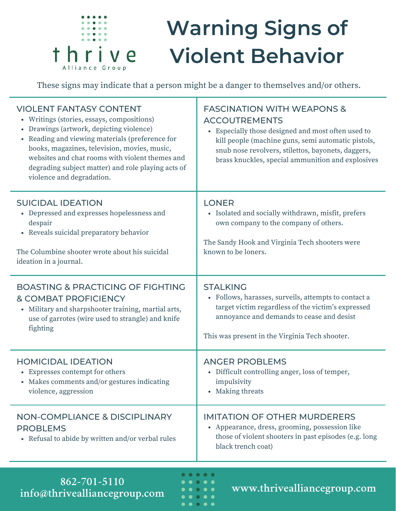

## **Warning Signs of Violent Behavior**

These signs may indicate that a person might be a danger to themselves and/or others.

| <b>VIOLENT FANTASY CONTENT</b><br>• Writings (stories, essays, compositions)<br>• Drawings (artwork, depicting violence)<br>• Reading and viewing materials (preference for<br>books, magazines, television, movies, music,<br>websites and chat rooms with violent themes and<br>degrading subject matter) and role playing acts of<br>violence and degradation. | <b>FASCINATION WITH WEAPONS &amp;</b><br><b>ACCOUTREMENTS</b><br>• Especially those designed and most often used to<br>kill people (machine guns, semi automatic pistols,<br>snub nose revolvers, stilettos, bayonets, daggers,<br>brass knuckles, special ammunition and explosives |
|-------------------------------------------------------------------------------------------------------------------------------------------------------------------------------------------------------------------------------------------------------------------------------------------------------------------------------------------------------------------|--------------------------------------------------------------------------------------------------------------------------------------------------------------------------------------------------------------------------------------------------------------------------------------|
| <b>SUICIDAL IDEATION</b><br>• Depressed and expresses hopelessness and<br>despair<br>• Reveals suicidal preparatory behavior<br>The Columbine shooter wrote about his suicidal<br>ideation in a journal.                                                                                                                                                          | <b>LONER</b><br>• Isolated and socially withdrawn, misfit, prefers<br>own company to the company of others.<br>The Sandy Hook and Virginia Tech shooters were<br>known to be loners.                                                                                                 |
| <b>BOASTING &amp; PRACTICING OF FIGHTING</b><br>& COMBAT PROFICIENCY<br>Military and sharpshooter training, martial arts,<br>$\bullet$<br>use of garrotes (wire used to strangle) and knife<br>fighting                                                                                                                                                           | <b>STALKING</b><br>• Follows, harasses, surveils, attempts to contact a<br>target victim regardless of the victim's expressed<br>annoyance and demands to cease and desist<br>This was present in the Virginia Tech shooter.                                                         |
| <b>HOMICIDAL IDEATION</b><br>• Expresses contempt for others<br>• Makes comments and/or gestures indicating<br>violence, aggression                                                                                                                                                                                                                               | <b>ANGER PROBLEMS</b><br>• Difficult controlling anger, loss of temper,<br>impulsivity<br>• Making threats                                                                                                                                                                           |
| <b>NON-COMPLIANCE &amp; DISCIPLINARY</b><br><b>PROBLEMS</b><br>Refusal to abide by written and/or verbal rules<br>$\bullet$                                                                                                                                                                                                                                       | <b>IMITATION OF OTHER MURDERERS</b><br>• Appearance, dress, grooming, possession like<br>those of violent shooters in past episodes (e.g. long<br>black trench coat)                                                                                                                 |

**www.thrivealliancegroup.com 862-701-5110 info@thrivealliancegroup.com**